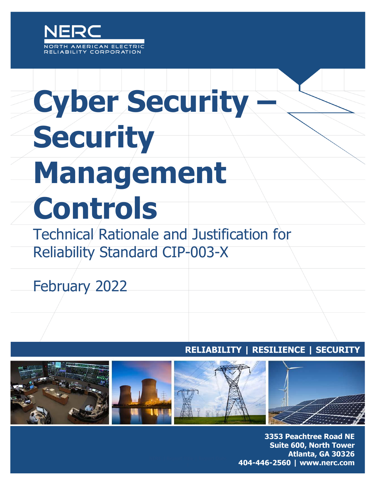

# **Cyber Security – Security Management Controls**

Technical Rationale and Justification for Reliability Standard CIP-003-X

February 2022

### **RELIABILITY | RESILIENCE | SECURITY**



**3353 Peachtree Road NE Suite 600, North Tower** Atlanta, GA 30326 404-446-2560 | www.nerc.com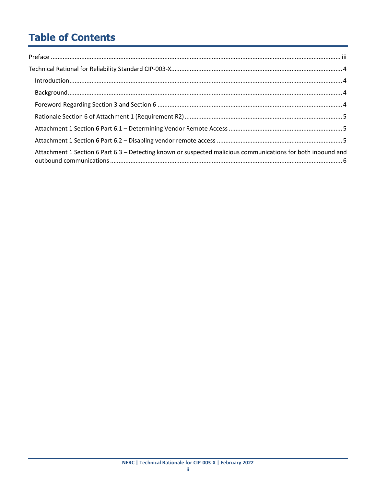# **Table of Contents**

| Attachment 1 Section 6 Part 6.3 - Detecting known or suspected malicious communications for both inbound and |
|--------------------------------------------------------------------------------------------------------------|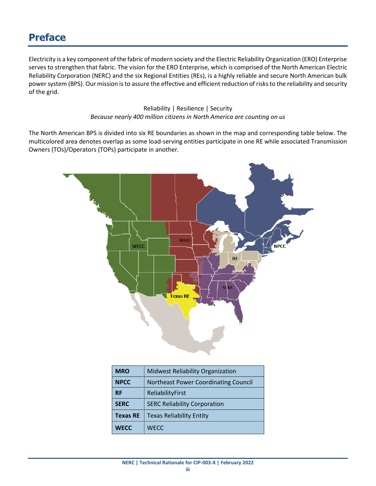## <span id="page-2-0"></span>**Preface**

Electricity is a key component of the fabric of modern society and the Electric Reliability Organization (ERO) Enterprise serves to strengthen that fabric. The vision for the ERO Enterprise, which is comprised of the North American Electric Reliability Corporation (NERC) and the six Regional Entities (REs), is a highly reliable and secure North American bulk power system (BPS). Our mission is to assure the effective and efficient reduction of risks to the reliability and security of the grid.

> Reliability | Resilience | Security *Because nearly 400 million citizens in North America are counting on us*

The North American BPS is divided into six RE boundaries as shown in the map and corresponding table below. The multicolored area denotes overlap as some load-serving entities participate in one RE while associated Transmission Owners (TOs)/Operators (TOPs) participate in another.



| <b>MRO</b>      | <b>Midwest Reliability Organization</b>     |
|-----------------|---------------------------------------------|
| <b>NPCC</b>     | <b>Northeast Power Coordinating Council</b> |
| <b>RF</b>       | ReliabilityFirst                            |
| <b>SERC</b>     | <b>SERC Reliability Corporation</b>         |
| <b>Texas RE</b> | <b>Texas Reliability Entity</b>             |
| <b>WECC</b>     | <b>WECC</b>                                 |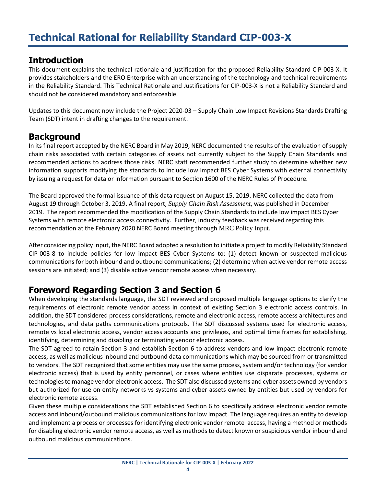#### <span id="page-3-1"></span><span id="page-3-0"></span>**Introduction**

This document explains the technical rationale and justification for the proposed Reliability Standard CIP-003-X. It provides stakeholders and the ERO Enterprise with an understanding of the technology and technical requirements in the Reliability Standard. This Technical Rationale and Justifications for CIP-003-X is not a Reliability Standard and should not be considered mandatory and enforceable.

Updates to this document now include the Project 2020-03 – Supply Chain Low Impact Revisions Standards Drafting Team (SDT) intent in drafting changes to the requirement.

#### <span id="page-3-2"></span>**Background**

In its final report accepted by the NERC Board in May 2019, NERC documented the results of the evaluation of supply chain risks associated with certain categories of assets not currently subject to the Supply Chain Standards and recommended actions to address those risks. NERC staff recommended further study to determine whether new information supports modifying the standards to include low impact BES Cyber Systems with external connectivity by issuing a request for data or information pursuant to Section 1600 of the NERC Rules of Procedure.

The Board approved the formal issuance of this data request on August 15, 2019. NERC collected the data from August 19 through October 3, 2019. A final report, *Supply Chain Risk Assessment*, was published in December 2019. The report recommended the modification of the Supply Chain Standards to include low impact BES Cyber Systems with remote electronic access connectivity. Further, industry feedback was received regarding this recommendation at the February 2020 NERC Board meeting through [MRC Policy Input](https://www.nerc.com/gov/bot/Agenda%20highlights%20and%20Mintues%202013/Policy-Input-Package-February-2020-PUBLIC-POSTING.pdf).

After considering policy input, the NERC Board adopted a resolution to initiate a project to modify Reliability Standard CIP-003-8 to include policies for low impact BES Cyber Systems to: (1) detect known or suspected malicious communications for both inbound and outbound communications; (2) determine when active vendor remote access sessions are initiated; and (3) disable active vendor remote access when necessary.

#### <span id="page-3-3"></span>**Foreword Regarding Section 3 and Section 6**

When developing the standards language, the SDT reviewed and proposed multiple language options to clarify the requirements of electronic remote vendor access in context of existing Section 3 electronic access controls. In addition, the SDT considered process considerations, remote and electronic access, remote access architectures and technologies, and data paths communications protocols. The SDT discussed systems used for electronic access, remote vs local electronic access, vendor access accounts and privileges, and optimal time frames for establishing, identifying, determining and disabling or terminating vendor electronic access.

The SDT agreed to retain Section 3 and establish Section 6 to address vendors and low impact electronic remote access, as well as malicious inbound and outbound data communications which may be sourced from or transmitted to vendors. The SDT recognized that some entities may use the same process, system and/or technology (for vendor electronic access) that is used by entity personnel, or cases where entities use disparate processes, systems or technologies to manage vendor electronic access. The SDT also discussed systems and cyber assets owned by vendors but authorized for use on entity networks vs systems and cyber assets owned by entities but used by vendors for electronic remote access.

Given these multiple considerations the SDT established Section 6 to specifically address electronic vendor remote access and inbound/outbound malicious communications for low impact. The language requires an entity to develop and implement a process or processes for identifying electronic vendor remote access, having a method or methods for disabling electronic vendor remote access, as well as methods to detect known or suspicious vendor inbound and outbound malicious communications.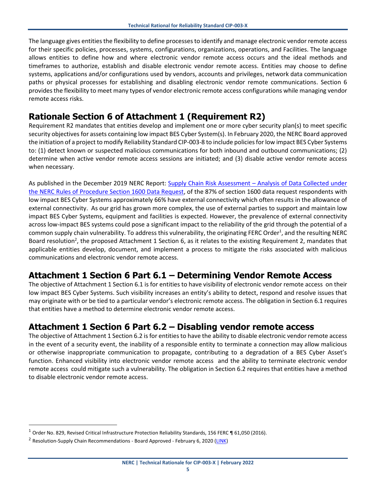The language gives entities the flexibility to define processesto identify and manage electronic vendor remote access for their specific policies, processes, systems, configurations, organizations, operations, and Facilities. The language allows entities to define how and where electronic vendor remote access occurs and the ideal methods and timeframes to authorize, establish and disable electronic vendor remote access. Entities may choose to define systems, applications and/or configurations used by vendors, accounts and privileges, network data communication paths or physical processes for establishing and disabling electronic vendor remote communications. Section 6 provides the flexibility to meet many types of vendor electronic remote access configurations while managing vendor remote access risks.

#### <span id="page-4-0"></span>**Rationale Section 6 of Attachment 1 (Requirement R2)**

Requirement R2 mandates that entities develop and implement one or more cyber security plan(s) to meet specific security objectives for assets containing low impact BES Cyber System(s). In February 2020, the NERC Board approved the initiation of a project to modify Reliability Standard CIP-003-8 to include policies for low impact BES Cyber Systems to: (1) detect known or suspected malicious communications for both inbound and outbound communications; (2) determine when active vendor remote access sessions are initiated; and (3) disable active vendor remote access when necessary.

As published in the December 2019 NERC Report: Supply Chain Risk Assessment – [Analysis of Data Collected under](https://www.nerc.com/pa/comp/SupplyChainRiskMitigationProgramDL/Supply%20Chain%20Risk%20Assesment%20Report.pdf)  [the NERC Rules of Procedure Section 1600 Data Request,](https://www.nerc.com/pa/comp/SupplyChainRiskMitigationProgramDL/Supply%20Chain%20Risk%20Assesment%20Report.pdf) of the 87% of section 1600 data request respondents with low impact BES Cyber Systems approximately 66% have external connectivity which often results in the allowance of external connectivity. As our grid has grown more complex, the use of external parties to support and maintain low impact BES Cyber Systems, equipment and facilities is expected. However, the prevalence of external connectivity across low-impact BES systems could pose a significant impact to the reliability of the grid through the potential of a common supply chain vulnerability. To address this vulnerability, the originating FERC Order<sup>1</sup>, and the resulting NERC Board resolution<sup>2</sup>, the proposed Attachment 1 Section 6, as it relates to the existing Requirement 2, mandates that applicable entities develop, document, and implement a process to mitigate the risks associated with malicious communications and electronic vendor remote access.

#### <span id="page-4-1"></span>**Attachment 1 Section 6 Part 6.1 – Determining Vendor Remote Access**

The objective of Attachment 1 Section 6.1 is for entities to have visibility of electronic vendor remote access on their low impact BES Cyber Systems. Such visibility increases an entity's ability to detect, respond and resolve issues that may originate with or be tied to a particular vendor's electronic remote access. The obligation in Section 6.1 requires that entities have a method to determine electronic vendor remote access.

#### <span id="page-4-2"></span>**Attachment 1 Section 6 Part 6.2 – Disabling vendor remote access**

The objective of Attachment 1 Section 6.2 is for entities to have the ability to disable electronic vendor remote access in the event of a security event, the inability of a responsible entity to terminate a connection may allow malicious or otherwise inappropriate communication to propagate, contributing to a degradation of a BES Cyber Asset's function. Enhanced visibility into electronic vendor remote access and the ability to terminate electronic vendor remote access could mitigate such a vulnerability. The obligation in Section 6.2 requires that entities have a method to disable electronic vendor remote access.

 $\overline{a}$ 

 $1$  Order No. 829, Revised Critical Infrastructure Protection Reliability Standards, 156 FERC ¶ 61,050 (2016).

<sup>&</sup>lt;sup>2</sup> Resolution-Supply Chain Recommendations - Board Approved - February 6, 2020 [\(LINK\)](https://www.nerc.com/gov/bot/Agenda%20highlights%20and%20Mintues%202013/Approved_Resolution_%20Supply%20Chain%20Follow%20Up%20(2-6-2020).pdf)